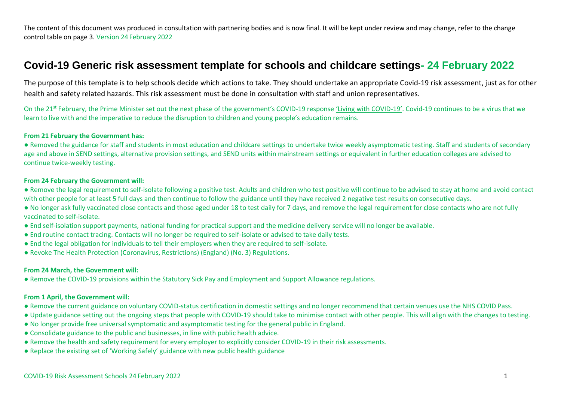# **Covid-19 Generic risk assessment template for schools and childcare settings- 24 February 2022**

The purpose of this template is to help schools decide which actions to take. They should undertake an appropriate Covid-19 risk assessment, just as for other health and safety related hazards. This risk assessment must be done in consultation with staff and union representatives.

On the 21<sup>st</sup> February, the Prime Minister set out the next phase of the government's COVID-19 response ['Living with COVID](https://www.gov.uk/government/publications/covid-19-response-living-with-covid-19?utm_source=21%20February%202022%20C19&utm_medium=Daily%20Email%20C19&utm_campaign=DfE%20C19)-19'. Covid-19 continues to be a virus that we learn to live with and the imperative to reduce the disruption to children and young people's education remains.

#### **From 21 February the Government has:**

● Removed the guidance for staff and students in most education and childcare settings to undertake twice weekly asymptomatic testing. Staff and students of secondary age and above in SEND settings, alternative provision settings, and SEND units within mainstream settings or equivalent in further education colleges are advised to continue twice-weekly testing.

#### **From 24 February the Government will:**

● Remove the legal requirement to self-isolate following a positive test. Adults and children who test positive will continue to be advised to stay at home and avoid contact with other people for at least 5 full days and then continue to follow the guidance until they have received 2 negative test results on consecutive days.

- No longer ask fully vaccinated close contacts and those aged under 18 to test daily for 7 days, and remove the legal requirement for close contacts who are not fully vaccinated to self-isolate.
- End self-isolation support payments, national funding for practical support and the medicine delivery service will no longer be available.
- End routine contact tracing. Contacts will no longer be required to self-isolate or advised to take daily tests.
- End the legal obligation for individuals to tell their employers when they are required to self-isolate.
- Revoke The Health Protection (Coronavirus, Restrictions) (England) (No. 3) Regulations.

#### **From 24 March, the Government will:**

● Remove the COVID-19 provisions within the Statutory Sick Pay and Employment and Support Allowance regulations.

#### **From 1 April, the Government will:**

- Remove the current guidance on voluntary COVID-status certification in domestic settings and no longer recommend that certain venues use the NHS COVID Pass.
- Update guidance setting out the ongoing steps that people with COVID-19 should take to minimise contact with other people. This will align with the changes to testing.
- No longer provide free universal symptomatic and asymptomatic testing for the general public in England.
- Consolidate guidance to the public and businesses, in line with public health advice.
- Remove the health and safety requirement for every employer to explicitly consider COVID-19 in their risk assessments.
- Replace the existing set of 'Working Safely' guidance with new public health guidance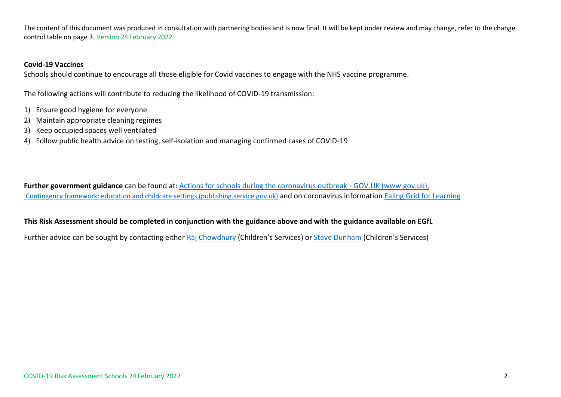### **Covid-19 Vaccines**

Schools should continue to encourage all those eligible for Covid vaccines to engage with the NHS vaccine programme.

The following actions will contribute to reducing the likelihood of COVID-19 transmission:

- 1) Ensure good hygiene for everyone
- 2) Maintain appropriate cleaning regimes
- 3) Keep occupied spaces well ventilated
- 4) Follow public health advice on testing, self-isolation and managing confirmed cases of COVID-19

**Further government guidance** can be found at: [Actions for schools during the coronavirus outbreak -](https://www.gov.uk/government/publications/actions-for-schools-during-the-coronavirus-outbreak?utm_source=26%20March%202021%20C19&utm_medium=Daily%20Email%20C19&utm_campaign=DfE%20C19) GOV.UK (www.gov.uk), [Contingency framework: education and childcare settings \(publishing.service.gov.uk\)](https://assets.publishing.service.gov.uk/government/uploads/system/uploads/attachment_data/file/1011704/20210817_Contingency_Framework_FINAL.pdf) and on coronavirus information [Ealing Grid for Learning](https://www.egfl.org.uk/coronavirus)

## **This Risk Assessment should be completed in conjunction with the guidance above and with the guidance available on EGfL**

Further advice can be sought by contacting either [Raj Chowdhury](mailto:Chowdhuryr@ealing.gov.uk) (Children's Services) or [Steve Dunham](mailto:DunhamS@ealing.gov.uk) (Children's Services)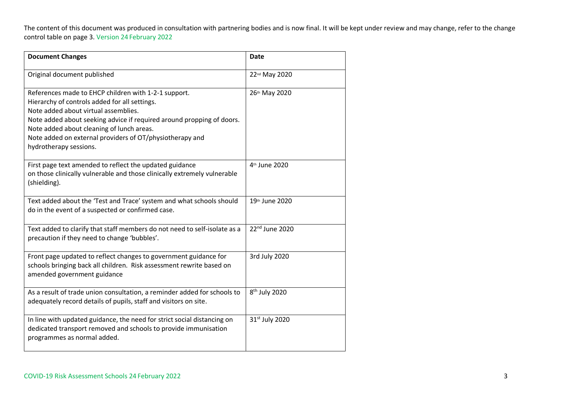| <b>Document Changes</b>                                                                                                                                                                                                                                                                                                                                   | <b>Date</b>                |
|-----------------------------------------------------------------------------------------------------------------------------------------------------------------------------------------------------------------------------------------------------------------------------------------------------------------------------------------------------------|----------------------------|
| Original document published                                                                                                                                                                                                                                                                                                                               | 22nd May 2020              |
| References made to EHCP children with 1-2-1 support.<br>Hierarchy of controls added for all settings.<br>Note added about virtual assemblies.<br>Note added about seeking advice if required around propping of doors.<br>Note added about cleaning of lunch areas.<br>Note added on external providers of OT/physiotherapy and<br>hydrotherapy sessions. | 26th May 2020              |
| First page text amended to reflect the updated guidance<br>on those clinically vulnerable and those clinically extremely vulnerable<br>(shielding).                                                                                                                                                                                                       | 4th June 2020              |
| Text added about the 'Test and Trace' system and what schools should<br>do in the event of a suspected or confirmed case.                                                                                                                                                                                                                                 | 19th June 2020             |
| Text added to clarify that staff members do not need to self-isolate as a<br>precaution if they need to change 'bubbles'.                                                                                                                                                                                                                                 | 22nd June 2020             |
| Front page updated to reflect changes to government guidance for<br>schools bringing back all children. Risk assessment rewrite based on<br>amended government guidance                                                                                                                                                                                   | 3rd July 2020              |
| As a result of trade union consultation, a reminder added for schools to<br>adequately record details of pupils, staff and visitors on site.                                                                                                                                                                                                              | 8 <sup>th</sup> July 2020  |
| In line with updated guidance, the need for strict social distancing on<br>dedicated transport removed and schools to provide immunisation<br>programmes as normal added.                                                                                                                                                                                 | 31 <sup>st</sup> July 2020 |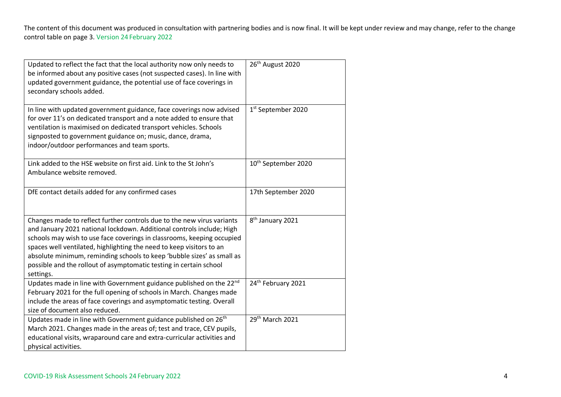| Updated to reflect the fact that the local authority now only needs to<br>be informed about any positive cases (not suspected cases). In line with<br>updated government guidance, the potential use of face coverings in<br>secondary schools added.                                                                                                                                                                                                          | 26 <sup>th</sup> August 2020    |
|----------------------------------------------------------------------------------------------------------------------------------------------------------------------------------------------------------------------------------------------------------------------------------------------------------------------------------------------------------------------------------------------------------------------------------------------------------------|---------------------------------|
| In line with updated government guidance, face coverings now advised<br>for over 11's on dedicated transport and a note added to ensure that<br>ventilation is maximised on dedicated transport vehicles. Schools<br>signposted to government guidance on; music, dance, drama,<br>indoor/outdoor performances and team sports.                                                                                                                                | 1st September 2020              |
| Link added to the HSE website on first aid. Link to the St John's<br>Ambulance website removed.                                                                                                                                                                                                                                                                                                                                                                | 10 <sup>th</sup> September 2020 |
| DfE contact details added for any confirmed cases                                                                                                                                                                                                                                                                                                                                                                                                              | 17th September 2020             |
| Changes made to reflect further controls due to the new virus variants<br>and January 2021 national lockdown. Additional controls include; High<br>schools may wish to use face coverings in classrooms, keeping occupied<br>spaces well ventilated, highlighting the need to keep visitors to an<br>absolute minimum, reminding schools to keep 'bubble sizes' as small as<br>possible and the rollout of asymptomatic testing in certain school<br>settings. | 8 <sup>th</sup> January 2021    |
| Updates made in line with Government guidance published on the 22nd<br>February 2021 for the full opening of schools in March. Changes made<br>include the areas of face coverings and asymptomatic testing. Overall<br>size of document also reduced.                                                                                                                                                                                                         | 24th February 2021              |
| Updates made in line with Government guidance published on 26 <sup>th</sup><br>March 2021. Changes made in the areas of; test and trace, CEV pupils,<br>educational visits, wraparound care and extra-curricular activities and<br>physical activities.                                                                                                                                                                                                        | 29 <sup>th</sup> March 2021     |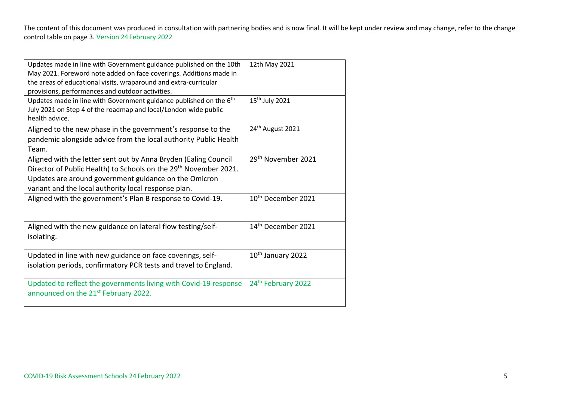| Updates made in line with Government guidance published on the 10th<br>May 2021. Foreword note added on face coverings. Additions made in<br>the areas of educational visits, wraparound and extra-curricular<br>provisions, performances and outdoor activities. | 12th May 2021                  |
|-------------------------------------------------------------------------------------------------------------------------------------------------------------------------------------------------------------------------------------------------------------------|--------------------------------|
| Updates made in line with Government guidance published on the 6 <sup>th</sup><br>July 2021 on Step 4 of the roadmap and local/London wide public<br>health advice.                                                                                               | 15 <sup>th</sup> July 2021     |
| Aligned to the new phase in the government's response to the<br>pandemic alongside advice from the local authority Public Health<br>Team.                                                                                                                         | 24 <sup>th</sup> August 2021   |
| Aligned with the letter sent out by Anna Bryden (Ealing Council<br>Director of Public Health) to Schools on the 29 <sup>th</sup> November 2021.<br>Updates are around government guidance on the Omicron<br>variant and the local authority local response plan.  | 29 <sup>th</sup> November 2021 |
| Aligned with the government's Plan B response to Covid-19.                                                                                                                                                                                                        | 10 <sup>th</sup> December 2021 |
| Aligned with the new guidance on lateral flow testing/self-<br>isolating.                                                                                                                                                                                         | 14 <sup>th</sup> December 2021 |
| Updated in line with new guidance on face coverings, self-<br>isolation periods, confirmatory PCR tests and travel to England.                                                                                                                                    | 10 <sup>th</sup> January 2022  |
| Updated to reflect the governments living with Covid-19 response<br>announced on the 21 <sup>st</sup> February 2022.                                                                                                                                              | 24th February 2022             |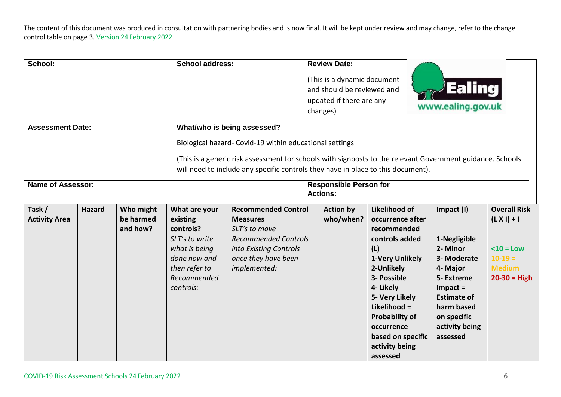| School:<br><b>Assessment Date:</b>                                                                                                                                                                                                                        |               |                                    | <b>School address:</b>                                                                                                                 | What/who is being assessed?                                                                                                                                    |  | <b>Review Date:</b><br>(This is a dynamic document<br>and should be reviewed and<br>updated if there are any<br>changes) |                                                                                                                                                                                                                                                                           |  | Ealing<br>www.ealing.gov.uk                                                                                                                                                     |                                                                                                     |  |
|-----------------------------------------------------------------------------------------------------------------------------------------------------------------------------------------------------------------------------------------------------------|---------------|------------------------------------|----------------------------------------------------------------------------------------------------------------------------------------|----------------------------------------------------------------------------------------------------------------------------------------------------------------|--|--------------------------------------------------------------------------------------------------------------------------|---------------------------------------------------------------------------------------------------------------------------------------------------------------------------------------------------------------------------------------------------------------------------|--|---------------------------------------------------------------------------------------------------------------------------------------------------------------------------------|-----------------------------------------------------------------------------------------------------|--|
| Biological hazard- Covid-19 within educational settings<br>(This is a generic risk assessment for schools with signposts to the relevant Government guidance. Schools<br>will need to include any specific controls they have in place to this document). |               |                                    |                                                                                                                                        |                                                                                                                                                                |  |                                                                                                                          |                                                                                                                                                                                                                                                                           |  |                                                                                                                                                                                 |                                                                                                     |  |
| <b>Name of Assessor:</b>                                                                                                                                                                                                                                  |               |                                    |                                                                                                                                        | <b>Responsible Person for</b><br><b>Actions:</b>                                                                                                               |  |                                                                                                                          |                                                                                                                                                                                                                                                                           |  |                                                                                                                                                                                 |                                                                                                     |  |
| Task/<br><b>Activity Area</b>                                                                                                                                                                                                                             | <b>Hazard</b> | Who might<br>be harmed<br>and how? | What are your<br>existing<br>controls?<br>SLT's to write<br>what is being<br>done now and<br>then refer to<br>Recommended<br>controls: | <b>Recommended Control</b><br><b>Measures</b><br>SLT's to move<br><b>Recommended Controls</b><br>into Existing Controls<br>once they have been<br>implemented: |  | <b>Action by</b><br>who/when?                                                                                            | <b>Likelihood of</b><br>occurrence after<br>recommended<br>controls added<br>(L)<br>1-Very Unlikely<br>2-Unlikely<br>3- Possible<br>4- Likely<br>5- Very Likely<br>Likelihood =<br><b>Probability of</b><br>occurrence<br>based on specific<br>activity being<br>assessed |  | Impact (I)<br>1-Negligible<br>2- Minor<br>3- Moderate<br>4- Major<br>5- Extreme<br>$Im$ pact =<br><b>Estimate of</b><br>harm based<br>on specific<br>activity being<br>assessed | <b>Overall Risk</b><br>$(L X I) + I$<br>$10 = Low$<br>$10-19=$<br><b>Medium</b><br>$20 - 30 = High$ |  |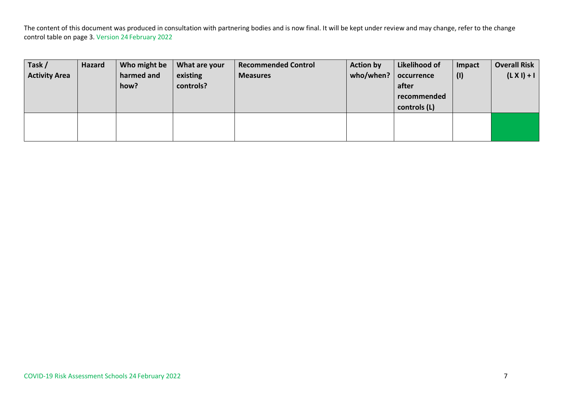| Task/                | <b>Hazard</b> | Who might be | What are your | <b>Recommended Control</b> | <b>Action by</b> | Likelihood of | Impact | <b>Overall Risk</b> |
|----------------------|---------------|--------------|---------------|----------------------------|------------------|---------------|--------|---------------------|
| <b>Activity Area</b> |               | harmed and   | existing      | <b>Measures</b>            | who/when? $ $    | occurrence    | (1)    | $(L X I) + I$       |
|                      |               | how?         | controls?     |                            |                  | after         |        |                     |
|                      |               |              |               |                            |                  | recommended   |        |                     |
|                      |               |              |               |                            |                  | controls (L)  |        |                     |
|                      |               |              |               |                            |                  |               |        |                     |
|                      |               |              |               |                            |                  |               |        |                     |
|                      |               |              |               |                            |                  |               |        |                     |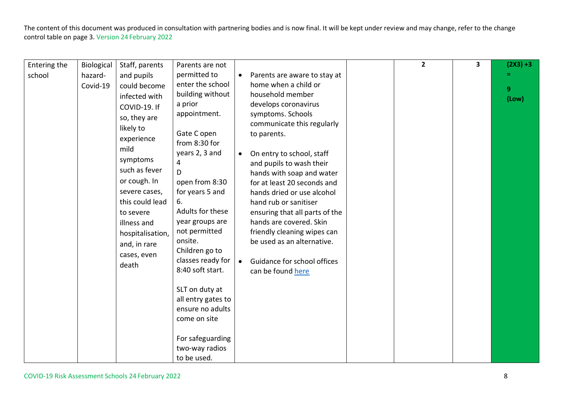|                        |                                   |                                                                                                                                                                                                                                                                                                           |                                                                                                                                                                                                                                                                                                                                                                                 |                                     |                                                                                                                                                                                                                                                                                                                                                                                                                                                                                                                              |                | $\overline{\mathbf{3}}$ |                                        |
|------------------------|-----------------------------------|-----------------------------------------------------------------------------------------------------------------------------------------------------------------------------------------------------------------------------------------------------------------------------------------------------------|---------------------------------------------------------------------------------------------------------------------------------------------------------------------------------------------------------------------------------------------------------------------------------------------------------------------------------------------------------------------------------|-------------------------------------|------------------------------------------------------------------------------------------------------------------------------------------------------------------------------------------------------------------------------------------------------------------------------------------------------------------------------------------------------------------------------------------------------------------------------------------------------------------------------------------------------------------------------|----------------|-------------------------|----------------------------------------|
| Entering the<br>school | Biological<br>hazard-<br>Covid-19 | Staff, parents<br>and pupils<br>could become<br>infected with<br>COVID-19. If<br>so, they are<br>likely to<br>experience<br>mild<br>symptoms<br>such as fever<br>or cough. In<br>severe cases,<br>this could lead<br>to severe<br>illness and<br>hospitalisation,<br>and, in rare<br>cases, even<br>death | Parents are not<br>permitted to<br>enter the school<br>building without<br>a prior<br>appointment.<br>Gate C open<br>from 8:30 for<br>years 2, 3 and<br>4<br>D<br>open from 8:30<br>for years 5 and<br>6.<br>Adults for these<br>year groups are<br>not permitted<br>onsite.<br>Children go to<br>classes ready for<br>8:40 soft start.<br>SLT on duty at<br>all entry gates to | $\bullet$<br>$\bullet$<br>$\bullet$ | Parents are aware to stay at<br>home when a child or<br>household member<br>develops coronavirus<br>symptoms. Schools<br>communicate this regularly<br>to parents.<br>On entry to school, staff<br>and pupils to wash their<br>hands with soap and water<br>for at least 20 seconds and<br>hands dried or use alcohol<br>hand rub or sanitiser<br>ensuring that all parts of the<br>hands are covered. Skin<br>friendly cleaning wipes can<br>be used as an alternative.<br>Guidance for school offices<br>can be found here | $\overline{2}$ |                         | $(2X3) + 3$<br>9 <sup>°</sup><br>(Low) |
|                        |                                   |                                                                                                                                                                                                                                                                                                           | ensure no adults<br>come on site<br>For safeguarding<br>two-way radios<br>to be used.                                                                                                                                                                                                                                                                                           |                                     |                                                                                                                                                                                                                                                                                                                                                                                                                                                                                                                              |                |                         |                                        |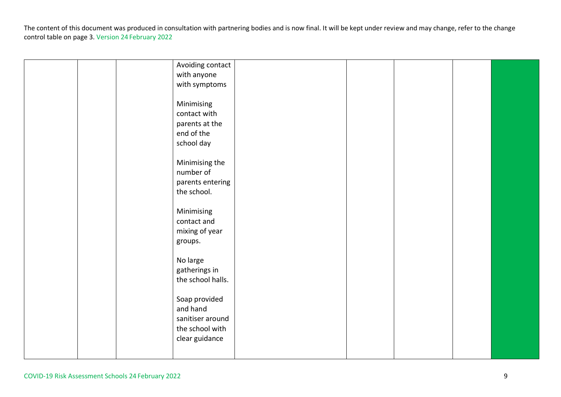|  | Avoiding contact<br>with anyone<br>with symptoms<br>Minimising<br>contact with     |  |  |  |
|--|------------------------------------------------------------------------------------|--|--|--|
|  | parents at the<br>end of the<br>school day                                         |  |  |  |
|  | Minimising the<br>number of<br>parents entering<br>the school.                     |  |  |  |
|  | Minimising<br>contact and<br>mixing of year<br>groups.                             |  |  |  |
|  | No large<br>gatherings in<br>the school halls.                                     |  |  |  |
|  | Soap provided<br>and hand<br>sanitiser around<br>the school with<br>clear guidance |  |  |  |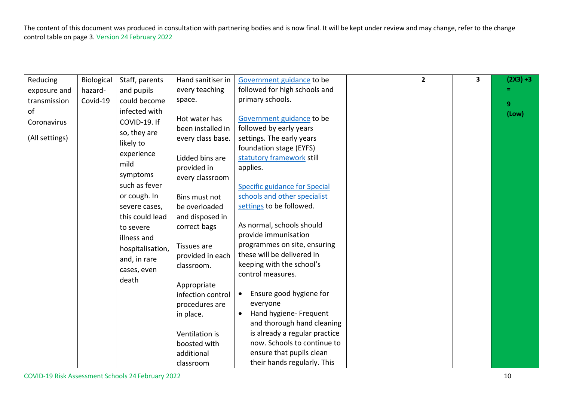| Reducing       | <b>Biological</b> | Staff, parents   | Hand sanitiser in | Government guidance to be            | $\overline{2}$ | $\overline{\mathbf{3}}$ | $(2X3) + 3$ |
|----------------|-------------------|------------------|-------------------|--------------------------------------|----------------|-------------------------|-------------|
| exposure and   | hazard-           | and pupils       | every teaching    | followed for high schools and        |                |                         |             |
| transmission   | Covid-19          | could become     | space.            | primary schools.                     |                |                         | 9           |
| of             |                   | infected with    |                   |                                      |                |                         | (Low)       |
| Coronavirus    |                   | COVID-19. If     | Hot water has     | Government guidance to be            |                |                         |             |
|                |                   | so, they are     | been installed in | followed by early years              |                |                         |             |
| (All settings) |                   | likely to        | every class base. | settings. The early years            |                |                         |             |
|                |                   | experience       |                   | foundation stage (EYFS)              |                |                         |             |
|                |                   | mild             | Lidded bins are   | statutory framework still            |                |                         |             |
|                |                   |                  | provided in       | applies.                             |                |                         |             |
|                |                   | symptoms         | every classroom   |                                      |                |                         |             |
|                |                   | such as fever    |                   | <b>Specific guidance for Special</b> |                |                         |             |
|                |                   | or cough. In     | Bins must not     | schools and other specialist         |                |                         |             |
|                |                   | severe cases,    | be overloaded     | settings to be followed.             |                |                         |             |
|                |                   | this could lead  | and disposed in   |                                      |                |                         |             |
|                |                   | to severe        | correct bags      | As normal, schools should            |                |                         |             |
|                |                   | illness and      |                   | provide immunisation                 |                |                         |             |
|                |                   | hospitalisation, | Tissues are       | programmes on site, ensuring         |                |                         |             |
|                |                   | and, in rare     | provided in each  | these will be delivered in           |                |                         |             |
|                |                   | cases, even      | classroom.        | keeping with the school's            |                |                         |             |
|                |                   |                  |                   | control measures.                    |                |                         |             |
|                |                   | death            | Appropriate       |                                      |                |                         |             |
|                |                   |                  | infection control | Ensure good hygiene for<br>$\bullet$ |                |                         |             |
|                |                   |                  | procedures are    | everyone                             |                |                         |             |
|                |                   |                  | in place.         | Hand hygiene- Frequent<br>$\bullet$  |                |                         |             |
|                |                   |                  |                   | and thorough hand cleaning           |                |                         |             |
|                |                   |                  | Ventilation is    | is already a regular practice        |                |                         |             |
|                |                   |                  | boosted with      | now. Schools to continue to          |                |                         |             |
|                |                   |                  | additional        | ensure that pupils clean             |                |                         |             |
|                |                   |                  | classroom         | their hands regularly. This          |                |                         |             |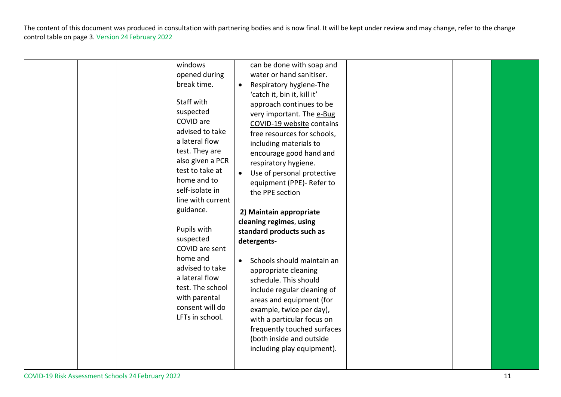|  |  |  | windows<br>opened during<br>break time.<br>Staff with<br>suspected<br>COVID are<br>advised to take<br>a lateral flow<br>test. They are<br>also given a PCR<br>test to take at<br>home and to<br>self-isolate in<br>line with current<br>guidance.<br>Pupils with<br>suspected<br>COVID are sent<br>home and<br>advised to take<br>a lateral flow<br>test. The school<br>with parental<br>consent will do<br>LFTs in school. | $\bullet$<br>$\bullet$ | can be done with soap and<br>water or hand sanitiser.<br>Respiratory hygiene-The<br>'catch it, bin it, kill it'<br>approach continues to be<br>very important. The e-Bug<br>COVID-19 website contains<br>free resources for schools,<br>including materials to<br>encourage good hand and<br>respiratory hygiene.<br>Use of personal protective<br>equipment (PPE)- Refer to<br>the PPE section<br>2) Maintain appropriate<br>cleaning regimes, using<br>standard products such as<br>detergents-<br>Schools should maintain an<br>appropriate cleaning<br>schedule. This should<br>include regular cleaning of<br>areas and equipment (for<br>example, twice per day),<br>with a particular focus on<br>frequently touched surfaces<br>(both inside and outside<br>including play equipment). |  |  |  |  |
|--|--|--|-----------------------------------------------------------------------------------------------------------------------------------------------------------------------------------------------------------------------------------------------------------------------------------------------------------------------------------------------------------------------------------------------------------------------------|------------------------|------------------------------------------------------------------------------------------------------------------------------------------------------------------------------------------------------------------------------------------------------------------------------------------------------------------------------------------------------------------------------------------------------------------------------------------------------------------------------------------------------------------------------------------------------------------------------------------------------------------------------------------------------------------------------------------------------------------------------------------------------------------------------------------------|--|--|--|--|
|--|--|--|-----------------------------------------------------------------------------------------------------------------------------------------------------------------------------------------------------------------------------------------------------------------------------------------------------------------------------------------------------------------------------------------------------------------------------|------------------------|------------------------------------------------------------------------------------------------------------------------------------------------------------------------------------------------------------------------------------------------------------------------------------------------------------------------------------------------------------------------------------------------------------------------------------------------------------------------------------------------------------------------------------------------------------------------------------------------------------------------------------------------------------------------------------------------------------------------------------------------------------------------------------------------|--|--|--|--|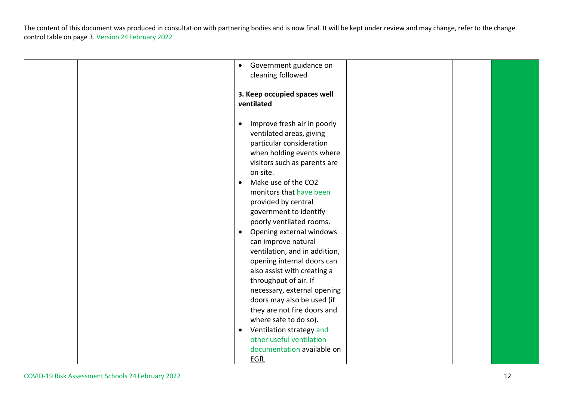|  | Government guidance on<br>$\bullet$<br>cleaning followed                                                                                                                                                                                                                                                                                                                                                            |  |  |
|--|---------------------------------------------------------------------------------------------------------------------------------------------------------------------------------------------------------------------------------------------------------------------------------------------------------------------------------------------------------------------------------------------------------------------|--|--|
|  | 3. Keep occupied spaces well<br>ventilated                                                                                                                                                                                                                                                                                                                                                                          |  |  |
|  | Improve fresh air in poorly<br>ventilated areas, giving<br>particular consideration<br>when holding events where<br>visitors such as parents are<br>on site.<br>Make use of the CO2<br>monitors that have been<br>provided by central<br>government to identify<br>poorly ventilated rooms.                                                                                                                         |  |  |
|  | Opening external windows<br>$\bullet$<br>can improve natural<br>ventilation, and in addition,<br>opening internal doors can<br>also assist with creating a<br>throughput of air. If<br>necessary, external opening<br>doors may also be used (if<br>they are not fire doors and<br>where safe to do so).<br>Ventilation strategy and<br>$\bullet$<br>other useful ventilation<br>documentation available on<br>EGfL |  |  |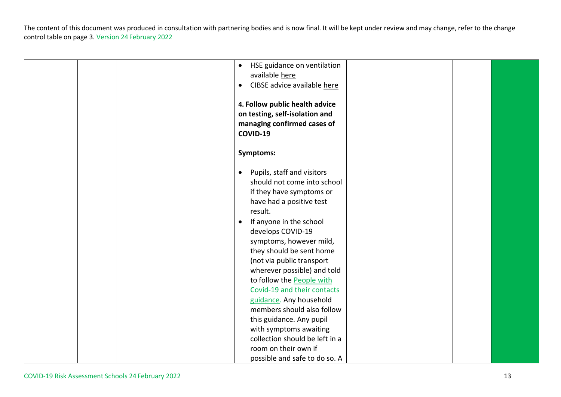|  |  | HSE guidance on ventilation<br>$\bullet$ |  |  |
|--|--|------------------------------------------|--|--|
|  |  | available here                           |  |  |
|  |  | CIBSE advice available here<br>$\bullet$ |  |  |
|  |  |                                          |  |  |
|  |  | 4. Follow public health advice           |  |  |
|  |  | on testing, self-isolation and           |  |  |
|  |  | managing confirmed cases of              |  |  |
|  |  | COVID-19                                 |  |  |
|  |  |                                          |  |  |
|  |  | <b>Symptoms:</b>                         |  |  |
|  |  |                                          |  |  |
|  |  | Pupils, staff and visitors<br>$\bullet$  |  |  |
|  |  | should not come into school              |  |  |
|  |  | if they have symptoms or                 |  |  |
|  |  | have had a positive test                 |  |  |
|  |  | result.                                  |  |  |
|  |  | If anyone in the school<br>$\bullet$     |  |  |
|  |  | develops COVID-19                        |  |  |
|  |  | symptoms, however mild,                  |  |  |
|  |  | they should be sent home                 |  |  |
|  |  | (not via public transport                |  |  |
|  |  | wherever possible) and told              |  |  |
|  |  | to follow the People with                |  |  |
|  |  | Covid-19 and their contacts              |  |  |
|  |  | guidance. Any household                  |  |  |
|  |  | members should also follow               |  |  |
|  |  | this guidance. Any pupil                 |  |  |
|  |  | with symptoms awaiting                   |  |  |
|  |  | collection should be left in a           |  |  |
|  |  | room on their own if                     |  |  |
|  |  | possible and safe to do so. A            |  |  |
|  |  |                                          |  |  |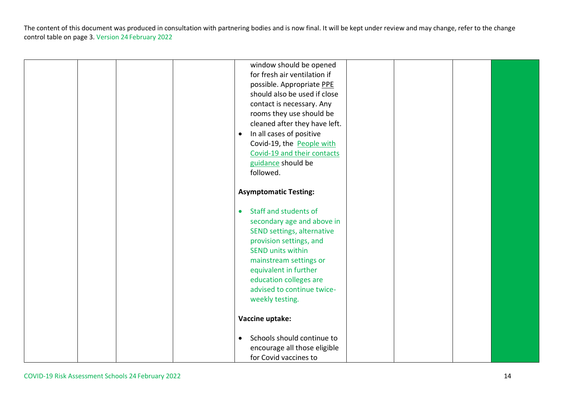|  |  | window should be opened                 |  |  |
|--|--|-----------------------------------------|--|--|
|  |  | for fresh air ventilation if            |  |  |
|  |  | possible. Appropriate PPE               |  |  |
|  |  | should also be used if close            |  |  |
|  |  | contact is necessary. Any               |  |  |
|  |  | rooms they use should be                |  |  |
|  |  | cleaned after they have left.           |  |  |
|  |  | In all cases of positive<br>$\bullet$   |  |  |
|  |  | Covid-19, the People with               |  |  |
|  |  | Covid-19 and their contacts             |  |  |
|  |  |                                         |  |  |
|  |  | guidance should be                      |  |  |
|  |  | followed.                               |  |  |
|  |  |                                         |  |  |
|  |  | <b>Asymptomatic Testing:</b>            |  |  |
|  |  |                                         |  |  |
|  |  | Staff and students of<br>$\bullet$      |  |  |
|  |  | secondary age and above in              |  |  |
|  |  | SEND settings, alternative              |  |  |
|  |  | provision settings, and                 |  |  |
|  |  | <b>SEND units within</b>                |  |  |
|  |  | mainstream settings or                  |  |  |
|  |  | equivalent in further                   |  |  |
|  |  | education colleges are                  |  |  |
|  |  | advised to continue twice-              |  |  |
|  |  | weekly testing.                         |  |  |
|  |  |                                         |  |  |
|  |  | Vaccine uptake:                         |  |  |
|  |  | Schools should continue to<br>$\bullet$ |  |  |
|  |  | encourage all those eligible            |  |  |
|  |  | for Covid vaccines to                   |  |  |
|  |  |                                         |  |  |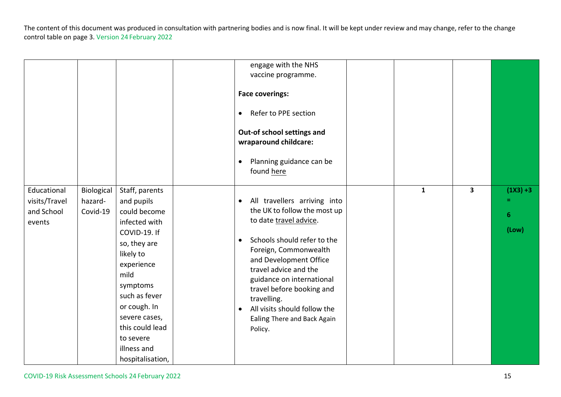|                                                      |                                   |                                                                                                                                                                                                                                                                   | engage with the NHS<br>vaccine programme.<br><b>Face coverings:</b><br>Refer to PPE section<br>$\bullet$<br>Out-of school settings and<br>wraparound childcare:<br>Planning guidance can be<br>$\bullet$<br>found here                                                                                                                                                                      |              |              |                                |
|------------------------------------------------------|-----------------------------------|-------------------------------------------------------------------------------------------------------------------------------------------------------------------------------------------------------------------------------------------------------------------|---------------------------------------------------------------------------------------------------------------------------------------------------------------------------------------------------------------------------------------------------------------------------------------------------------------------------------------------------------------------------------------------|--------------|--------------|--------------------------------|
| Educational<br>visits/Travel<br>and School<br>events | Biological<br>hazard-<br>Covid-19 | Staff, parents<br>and pupils<br>could become<br>infected with<br>COVID-19. If<br>so, they are<br>likely to<br>experience<br>mild<br>symptoms<br>such as fever<br>or cough. In<br>severe cases,<br>this could lead<br>to severe<br>illness and<br>hospitalisation, | All travellers arriving into<br>$\bullet$<br>the UK to follow the most up<br>to date travel advice.<br>Schools should refer to the<br>$\bullet$<br>Foreign, Commonwealth<br>and Development Office<br>travel advice and the<br>guidance on international<br>travel before booking and<br>travelling.<br>All visits should follow the<br>$\bullet$<br>Ealing There and Back Again<br>Policy. | $\mathbf{1}$ | $\mathbf{3}$ | $(1X3) + 3$<br>=<br>6<br>(Low) |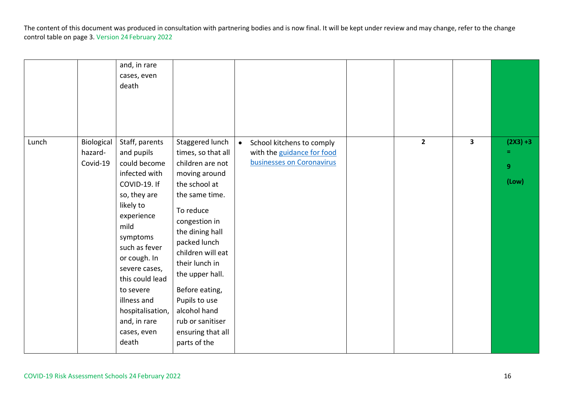|       |                                   | and, in rare<br>cases, even<br>death                                                                                                                                                                                                                                                                      |                                                                                                                                                                                                                                                                                                                                                      |                                                                                                   |              |                         |                           |
|-------|-----------------------------------|-----------------------------------------------------------------------------------------------------------------------------------------------------------------------------------------------------------------------------------------------------------------------------------------------------------|------------------------------------------------------------------------------------------------------------------------------------------------------------------------------------------------------------------------------------------------------------------------------------------------------------------------------------------------------|---------------------------------------------------------------------------------------------------|--------------|-------------------------|---------------------------|
| Lunch | Biological<br>hazard-<br>Covid-19 | Staff, parents<br>and pupils<br>could become<br>infected with<br>COVID-19. If<br>so, they are<br>likely to<br>experience<br>mild<br>symptoms<br>such as fever<br>or cough. In<br>severe cases,<br>this could lead<br>to severe<br>illness and<br>hospitalisation,<br>and, in rare<br>cases, even<br>death | Staggered lunch<br>times, so that all<br>children are not<br>moving around<br>the school at<br>the same time.<br>To reduce<br>congestion in<br>the dining hall<br>packed lunch<br>children will eat<br>their lunch in<br>the upper hall.<br>Before eating,<br>Pupils to use<br>alcohol hand<br>rub or sanitiser<br>ensuring that all<br>parts of the | School kitchens to comply<br>$\bullet$<br>with the guidance for food<br>businesses on Coronavirus | $\mathbf{2}$ | $\overline{\mathbf{3}}$ | $(2X3) + 3$<br>9<br>(Low) |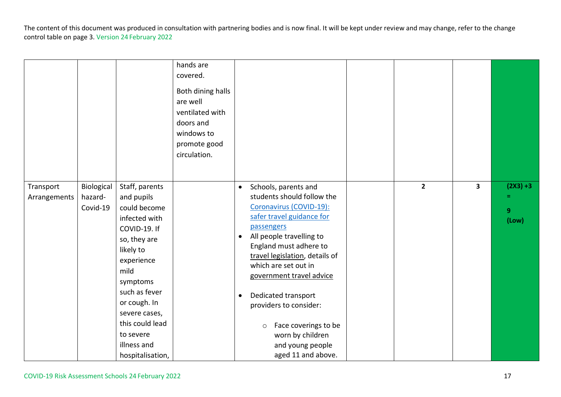|                           |                                   |                                                                                                                                                                                                                                                                   | hands are<br>covered.<br>Both dining halls<br>are well<br>ventilated with<br>doors and<br>windows to<br>promote good<br>circulation. |                                     |                                                                                                                                                                                                                                                                                                                                                                                                                        |              |                         |                                |
|---------------------------|-----------------------------------|-------------------------------------------------------------------------------------------------------------------------------------------------------------------------------------------------------------------------------------------------------------------|--------------------------------------------------------------------------------------------------------------------------------------|-------------------------------------|------------------------------------------------------------------------------------------------------------------------------------------------------------------------------------------------------------------------------------------------------------------------------------------------------------------------------------------------------------------------------------------------------------------------|--------------|-------------------------|--------------------------------|
| Transport<br>Arrangements | Biological<br>hazard-<br>Covid-19 | Staff, parents<br>and pupils<br>could become<br>infected with<br>COVID-19. If<br>so, they are<br>likely to<br>experience<br>mild<br>symptoms<br>such as fever<br>or cough. In<br>severe cases,<br>this could lead<br>to severe<br>illness and<br>hospitalisation, |                                                                                                                                      | $\bullet$<br>$\bullet$<br>$\bullet$ | Schools, parents and<br>students should follow the<br>Coronavirus (COVID-19):<br>safer travel guidance for<br>passengers<br>All people travelling to<br>England must adhere to<br>travel legislation, details of<br>which are set out in<br>government travel advice<br>Dedicated transport<br>providers to consider:<br>Face coverings to be<br>$\circ$<br>worn by children<br>and young people<br>aged 11 and above. | $\mathbf{2}$ | $\overline{\mathbf{3}}$ | $(2X3) + 3$<br>=<br>9<br>(Low) |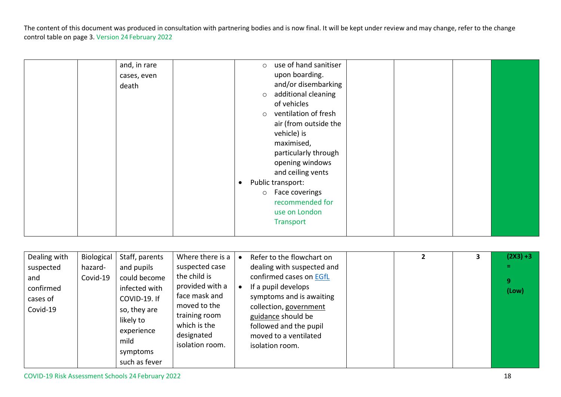|  | and, in rare | $\circ$   | use of hand sanitiser |  |  |
|--|--------------|-----------|-----------------------|--|--|
|  | cases, even  |           | upon boarding.        |  |  |
|  | death        |           | and/or disembarking   |  |  |
|  |              | $\circ$   | additional cleaning   |  |  |
|  |              |           | of vehicles           |  |  |
|  |              | $\circ$   | ventilation of fresh  |  |  |
|  |              |           | air (from outside the |  |  |
|  |              |           | vehicle) is           |  |  |
|  |              |           | maximised,            |  |  |
|  |              |           | particularly through  |  |  |
|  |              |           | opening windows       |  |  |
|  |              |           | and ceiling vents     |  |  |
|  |              | $\bullet$ | Public transport:     |  |  |
|  |              |           | o Face coverings      |  |  |
|  |              |           | recommended for       |  |  |
|  |              |           | use on London         |  |  |
|  |              |           | Transport             |  |  |
|  |              |           |                       |  |  |
|  |              |           |                       |  |  |

| Dealing with<br>suspected<br>and<br>confirmed<br>cases of<br>Covid-19 | <b>Biological</b><br>hazard-<br>Covid-19 | Staff, parents<br>and pupils<br>could become<br>infected with<br>COVID-19. If<br>so, they are<br>likely to<br>experience<br>mild<br>symptoms | Where there is a<br>suspected case<br>the child is<br>provided with a<br>face mask and<br>moved to the<br>training room<br>which is the<br>designated<br>isolation room. | $\bullet$<br>$\bullet$ | Refer to the flowchart on<br>dealing with suspected and<br>confirmed cases on EGfL<br>If a pupil develops<br>symptoms and is awaiting<br>collection, government<br>guidance should be<br>followed and the pupil<br>moved to a ventilated<br>isolation room. |  | 3 | $(2X3) + 3$<br>Ξ.<br>9<br>$($ Low $)$ |
|-----------------------------------------------------------------------|------------------------------------------|----------------------------------------------------------------------------------------------------------------------------------------------|--------------------------------------------------------------------------------------------------------------------------------------------------------------------------|------------------------|-------------------------------------------------------------------------------------------------------------------------------------------------------------------------------------------------------------------------------------------------------------|--|---|---------------------------------------|
|                                                                       |                                          | such as fever                                                                                                                                |                                                                                                                                                                          |                        |                                                                                                                                                                                                                                                             |  |   |                                       |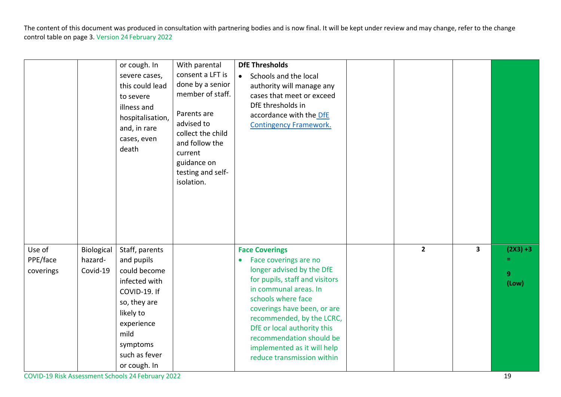|                    |                       | or cough. In<br>severe cases,<br>this could lead<br>to severe<br>illness and<br>hospitalisation,<br>and, in rare<br>cases, even<br>death | With parental<br>consent a LFT is<br>done by a senior<br>member of staff.<br>Parents are<br>advised to<br>collect the child<br>and follow the<br>current<br>guidance on<br>testing and self-<br>isolation. | <b>DfE Thresholds</b><br>Schools and the local<br>$\bullet$<br>authority will manage any<br>cases that meet or exceed<br>DfE thresholds in<br>accordance with the DfE<br><b>Contingency Framework.</b> |                |                         |                    |
|--------------------|-----------------------|------------------------------------------------------------------------------------------------------------------------------------------|------------------------------------------------------------------------------------------------------------------------------------------------------------------------------------------------------------|--------------------------------------------------------------------------------------------------------------------------------------------------------------------------------------------------------|----------------|-------------------------|--------------------|
| Use of<br>PPE/face | Biological<br>hazard- | Staff, parents<br>and pupils                                                                                                             |                                                                                                                                                                                                            | <b>Face Coverings</b><br>Face coverings are no<br>$\bullet$                                                                                                                                            | $\overline{2}$ | $\overline{\mathbf{3}}$ | $(2X3) + 3$<br>$=$ |
| coverings          | Covid-19              | could become                                                                                                                             |                                                                                                                                                                                                            | longer advised by the DfE                                                                                                                                                                              |                |                         | 9                  |
|                    |                       | infected with                                                                                                                            |                                                                                                                                                                                                            | for pupils, staff and visitors<br>in communal areas. In                                                                                                                                                |                |                         | (Low)              |
|                    |                       | COVID-19. If<br>so, they are                                                                                                             |                                                                                                                                                                                                            | schools where face                                                                                                                                                                                     |                |                         |                    |
|                    |                       | likely to                                                                                                                                |                                                                                                                                                                                                            | coverings have been, or are                                                                                                                                                                            |                |                         |                    |
|                    |                       | experience                                                                                                                               |                                                                                                                                                                                                            | recommended, by the LCRC,<br>DfE or local authority this                                                                                                                                               |                |                         |                    |
|                    |                       | mild                                                                                                                                     |                                                                                                                                                                                                            | recommendation should be                                                                                                                                                                               |                |                         |                    |
|                    |                       | symptoms                                                                                                                                 |                                                                                                                                                                                                            | implemented as it will help                                                                                                                                                                            |                |                         |                    |
|                    |                       | such as fever                                                                                                                            |                                                                                                                                                                                                            | reduce transmission within                                                                                                                                                                             |                |                         |                    |
|                    |                       | or cough. In                                                                                                                             |                                                                                                                                                                                                            |                                                                                                                                                                                                        |                |                         |                    |

COVID-19 Risk Assessment Schools 24 February 2022 19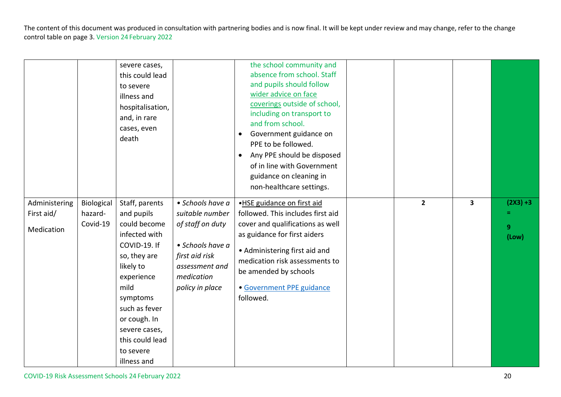|                                           |                                   | severe cases,<br>this could lead<br>to severe<br>illness and<br>hospitalisation,<br>and, in rare<br>cases, even<br>death                                                                                                                      |                                                                                                                                                  | the school community and<br>absence from school. Staff<br>and pupils should follow<br>wider advice on face<br>coverings outside of school,<br>including on transport to<br>and from school.<br>Government guidance on<br>$\bullet$<br>PPE to be followed.<br>Any PPE should be disposed<br>$\bullet$<br>of in line with Government<br>guidance on cleaning in<br>non-healthcare settings. |                |                         |                                |
|-------------------------------------------|-----------------------------------|-----------------------------------------------------------------------------------------------------------------------------------------------------------------------------------------------------------------------------------------------|--------------------------------------------------------------------------------------------------------------------------------------------------|-------------------------------------------------------------------------------------------------------------------------------------------------------------------------------------------------------------------------------------------------------------------------------------------------------------------------------------------------------------------------------------------|----------------|-------------------------|--------------------------------|
| Administering<br>First aid/<br>Medication | Biological<br>hazard-<br>Covid-19 | Staff, parents<br>and pupils<br>could become<br>infected with<br>COVID-19. If<br>so, they are<br>likely to<br>experience<br>mild<br>symptoms<br>such as fever<br>or cough. In<br>severe cases,<br>this could lead<br>to severe<br>illness and | • Schools have a<br>suitable number<br>of staff on duty<br>• Schools have a<br>first aid risk<br>assessment and<br>medication<br>policy in place | .HSE guidance on first aid<br>followed. This includes first aid<br>cover and qualifications as well<br>as guidance for first aiders<br>• Administering first aid and<br>medication risk assessments to<br>be amended by schools<br>· Government PPE guidance<br>followed.                                                                                                                 | $\overline{2}$ | $\overline{\mathbf{3}}$ | $(2X3) + 3$<br>=<br>9<br>(Low) |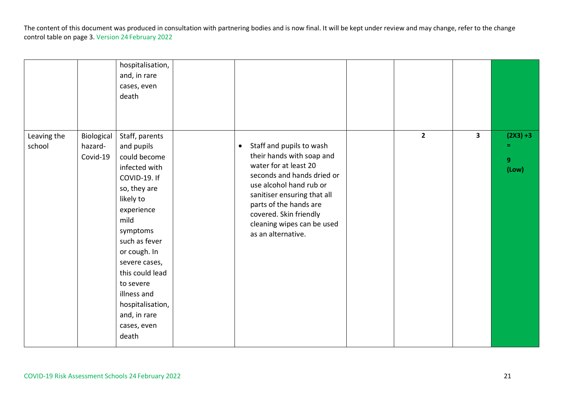|                       |                                   | hospitalisation,<br>and, in rare<br>cases, even<br>death                                                                                                                                                                                                                                                  |                                                                                                                                                                                                                                                                                             |             |                         |                                |
|-----------------------|-----------------------------------|-----------------------------------------------------------------------------------------------------------------------------------------------------------------------------------------------------------------------------------------------------------------------------------------------------------|---------------------------------------------------------------------------------------------------------------------------------------------------------------------------------------------------------------------------------------------------------------------------------------------|-------------|-------------------------|--------------------------------|
| Leaving the<br>school | Biological<br>hazard-<br>Covid-19 | Staff, parents<br>and pupils<br>could become<br>infected with<br>COVID-19. If<br>so, they are<br>likely to<br>experience<br>mild<br>symptoms<br>such as fever<br>or cough. In<br>severe cases,<br>this could lead<br>to severe<br>illness and<br>hospitalisation,<br>and, in rare<br>cases, even<br>death | Staff and pupils to wash<br>$\bullet$<br>their hands with soap and<br>water for at least 20<br>seconds and hands dried or<br>use alcohol hand rub or<br>sanitiser ensuring that all<br>parts of the hands are<br>covered. Skin friendly<br>cleaning wipes can be used<br>as an alternative. | $2^{\circ}$ | $\overline{\mathbf{3}}$ | $(2X3) + 3$<br>Ξ<br>9<br>(Low) |